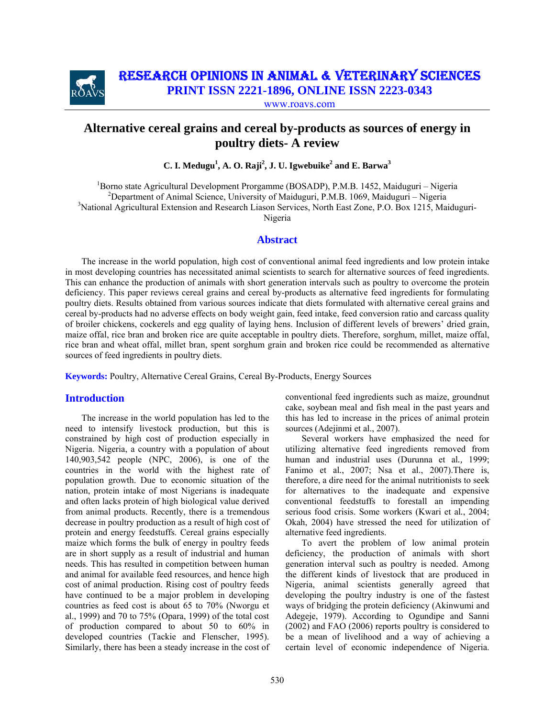

# RESEARCH OPINIONS IN ANIMAL & VETERINARY SCIENCES

**PRINT ISSN 2221-1896, ONLINE ISSN 2223-0343**

www.roavs.com

# **Alternative cereal grains and cereal by-products as sources of energy in poultry diets- A review**

 $C$ . I. Medugu<sup>1</sup>, A. O. Raji<sup>2</sup>, J. U. Igwebuike<sup>2</sup> and E. Barwa<sup>3</sup>

 1 Borno state Agricultural Development Prorgamme (BOSADP), P.M.B. 1452, Maiduguri – Nigeria <sup>2</sup>Department of Animal Science, University of Maiduguri, P.M.B. 1069, Maiduguri – Nigeria <sup>3</sup>National Agricultural Extension and Research Liason Services, North East Zone, P.O. Box 1215, Maiduguri-Nigeria

# **Abstract**

The increase in the world population, high cost of conventional animal feed ingredients and low protein intake in most developing countries has necessitated animal scientists to search for alternative sources of feed ingredients. This can enhance the production of animals with short generation intervals such as poultry to overcome the protein deficiency. This paper reviews cereal grains and cereal by-products as alternative feed ingredients for formulating poultry diets. Results obtained from various sources indicate that diets formulated with alternative cereal grains and cereal by-products had no adverse effects on body weight gain, feed intake, feed conversion ratio and carcass quality of broiler chickens, cockerels and egg quality of laying hens. Inclusion of different levels of brewers' dried grain, maize offal, rice bran and broken rice are quite acceptable in poultry diets. Therefore, sorghum, millet, maize offal, rice bran and wheat offal, millet bran, spent sorghum grain and broken rice could be recommended as alternative sources of feed ingredients in poultry diets.

**Keywords:** Poultry, Alternative Cereal Grains, Cereal By-Products, Energy Sources

# **Introduction**

The increase in the world population has led to the need to intensify livestock production, but this is constrained by high cost of production especially in Nigeria. Nigeria, a country with a population of about 140,903,542 people (NPC, 2006), is one of the countries in the world with the highest rate of population growth. Due to economic situation of the nation, protein intake of most Nigerians is inadequate and often lacks protein of high biological value derived from animal products. Recently, there is a tremendous decrease in poultry production as a result of high cost of protein and energy feedstuffs. Cereal grains especially maize which forms the bulk of energy in poultry feeds are in short supply as a result of industrial and human needs. This has resulted in competition between human and animal for available feed resources, and hence high cost of animal production. Rising cost of poultry feeds have continued to be a major problem in developing countries as feed cost is about 65 to 70% (Nworgu et al., 1999) and 70 to 75% (Opara, 1999) of the total cost of production compared to about 50 to 60% in developed countries (Tackie and Flenscher, 1995). Similarly, there has been a steady increase in the cost of conventional feed ingredients such as maize, groundnut cake, soybean meal and fish meal in the past years and this has led to increase in the prices of animal protein sources (Adejinmi et al., 2007).

Several workers have emphasized the need for utilizing alternative feed ingredients removed from human and industrial uses (Durunna et al*.,* 1999; Fanimo et al*.*, 2007; Nsa et al., 2007).There is, therefore, a dire need for the animal nutritionists to seek for alternatives to the inadequate and expensive conventional feedstuffs to forestall an impending serious food crisis. Some workers (Kwari et al*.*, 2004; Okah, 2004) have stressed the need for utilization of alternative feed ingredients.

To avert the problem of low animal protein deficiency, the production of animals with short generation interval such as poultry is needed. Among the different kinds of livestock that are produced in Nigeria, animal scientists generally agreed that developing the poultry industry is one of the fastest ways of bridging the protein deficiency (Akinwumi and Adegeje, 1979). According to Ogundipe and Sanni (2002) and FAO (2006) reports poultry is considered to be a mean of livelihood and a way of achieving a certain level of economic independence of Nigeria.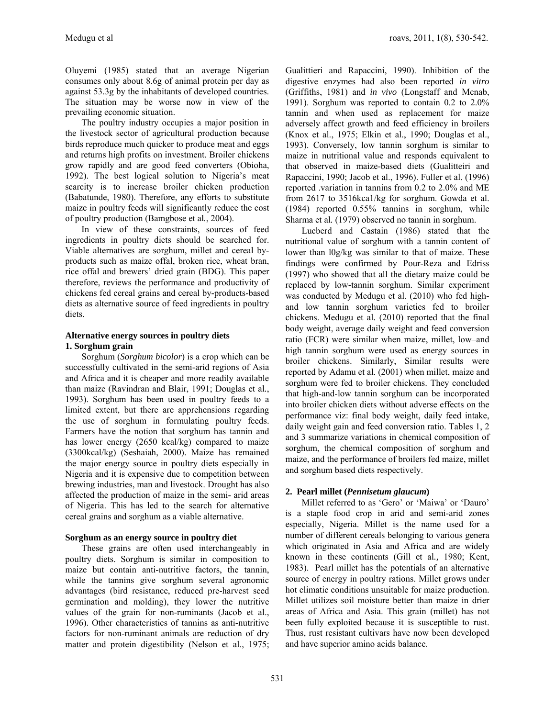Oluyemi (1985) stated that an average Nigerian consumes only about 8.6g of animal protein per day as against 53.3g by the inhabitants of developed countries. The situation may be worse now in view of the prevailing economic situation.

The poultry industry occupies a major position in the livestock sector of agricultural production because birds reproduce much quicker to produce meat and eggs and returns high profits on investment. Broiler chickens grow rapidly and are good feed converters (Obioha, 1992). The best logical solution to Nigeria's meat scarcity is to increase broiler chicken production (Babatunde, 1980). Therefore, any efforts to substitute maize in poultry feeds will significantly reduce the cost of poultry production (Bamgbose et al*.*, 2004).

In view of these constraints, sources of feed ingredients in poultry diets should be searched for. Viable alternatives are sorghum, millet and cereal byproducts such as maize offal, broken rice, wheat bran, rice offal and brewers' dried grain (BDG). This paper therefore, reviews the performance and productivity of chickens fed cereal grains and cereal by-products-based diets as alternative source of feed ingredients in poultry diets.

# **Alternative energy sources in poultry diets 1. Sorghum grain**

Sorghum (*Sorghum bicolor*) is a crop which can be successfully cultivated in the semi-arid regions of Asia and Africa and it is cheaper and more readily available than maize (Ravindran and Blair, 1991; Douglas et al*.*, 1993). Sorghum has been used in poultry feeds to a limited extent, but there are apprehensions regarding the use of sorghum in formulating poultry feeds. Farmers have the notion that sorghum has tannin and has lower energy (2650 kcal/kg) compared to maize (3300kcal/kg) (Seshaiah, 2000). Maize has remained the major energy source in poultry diets especially in Nigeria and it is expensive due to competition between brewing industries, man and livestock. Drought has also affected the production of maize in the semi- arid areas of Nigeria. This has led to the search for alternative cereal grains and sorghum as a viable alternative.

# **Sorghum as an energy source in poultry diet**

These grains are often used interchangeably in poultry diets. Sorghum is similar in composition to maize but contain anti-nutritive factors, the tannin, while the tannins give sorghum several agronomic advantages (bird resistance, reduced pre-harvest seed germination and molding), they lower the nutritive values of the grain for non-ruminants (Jacob et al., 1996). Other characteristics of tannins as anti-nutritive factors for non-ruminant animals are reduction of dry matter and protein digestibility (Nelson et al., 1975;

Gualittieri and Rapaccini, 1990). Inhibition of the digestive enzymes had also been reported *in vitro* (Griffiths, 1981) and *in vivo* (Longstaff and Mcnab, 1991). Sorghum was reported to contain 0.2 to 2.0% tannin and when used as replacement for maize adversely affect growth and feed efficiency in broilers (Knox et al., 1975; Elkin et al., 1990; Douglas et al., 1993). Conversely, low tannin sorghum is similar to maize in nutritional value and responds equivalent to that observed in maize-based diets (Gualitteiri and Rapaccini, 1990; Jacob et al., 1996). Fuller et al. (1996) reported .variation in tannins from 0.2 to 2.0% and ME from 2617 to 3516kca1/kg for sorghum. Gowda et al. (1984) reported 0.55% tannins in sorghum, while Sharma et al*.* (1979) observed no tannin in sorghum.

Lucberd and Castain (1986) stated that the nutritional value of sorghum with a tannin content of lower than l0g/kg was similar to that of maize. These findings were confirmed by Pour-Reza and Edriss (1997) who showed that all the dietary maize could be replaced by low-tannin sorghum. Similar experiment was conducted by Medugu et al. (2010) who fed highand low tannin sorghum varieties fed to broiler chickens. Medugu et al*.* (2010) reported that the final body weight, average daily weight and feed conversion ratio (FCR) were similar when maize, millet, low–and high tannin sorghum were used as energy sources in broiler chickens. Similarly, Similar results were reported by Adamu et al*.* (2001) when millet, maize and sorghum were fed to broiler chickens. They concluded that high-and-low tannin sorghum can be incorporated into broiler chicken diets without adverse effects on the performance viz: final body weight, daily feed intake, daily weight gain and feed conversion ratio. Tables 1, 2 and 3 summarize variations in chemical composition of sorghum, the chemical composition of sorghum and maize, and the performance of broilers fed maize, millet and sorghum based diets respectively.

# **2. Pearl millet (***Pennisetum glaucum***)**

Millet referred to as 'Gero' or 'Maiwa' or 'Dauro' is a staple food crop in arid and semi-arid zones especially, Nigeria. Millet is the name used for a number of different cereals belonging to various genera which originated in Asia and Africa and are widely known in these continents (Gill et al*.,* 1980; Kent, 1983). Pearl millet has the potentials of an alternative source of energy in poultry rations. Millet grows under hot climatic conditions unsuitable for maize production. Millet utilizes soil moisture better than maize in drier areas of Africa and Asia. This grain (millet) has not been fully exploited because it is susceptible to rust. Thus, rust resistant cultivars have now been developed and have superior amino acids balance.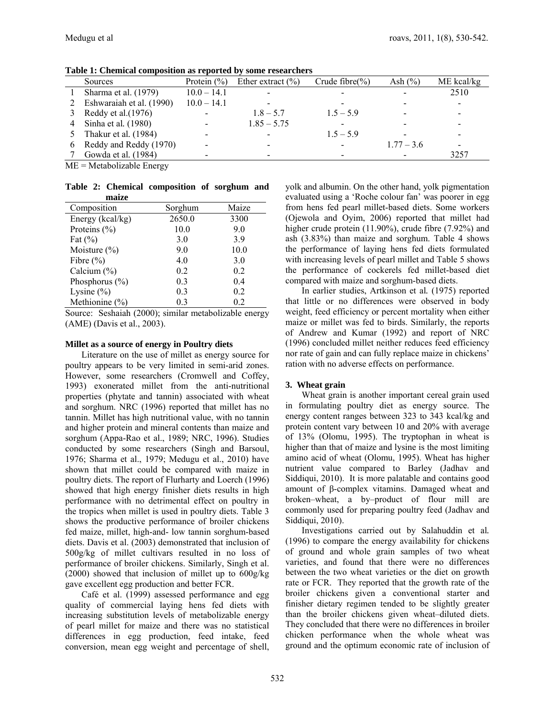| тимне то специем социромной им герогее му<br><u>some</u> rosen energ |                 |                       |                     |              |            |  |  |
|----------------------------------------------------------------------|-----------------|-----------------------|---------------------|--------------|------------|--|--|
| Sources                                                              | Protein $(\% )$ | Ether extract $(\% )$ | Crude fibre $(\% )$ | Ash $(\% )$  | ME kcal/kg |  |  |
| Sharma et al. (1979)                                                 | $10.0 - 14.1$   |                       |                     |              | 2510       |  |  |
| Eshwaraiah et al. (1990)                                             | $10.0 - 14.1$   |                       |                     |              |            |  |  |
| Reddy et al. $(1976)$                                                |                 | $1.8 - 5.7$           | $1.5 - 5.9$         |              |            |  |  |
| Sinha et al. (1980)                                                  |                 | $1.85 - 5.75$         |                     |              |            |  |  |
| Thakur et al. (1984)                                                 |                 |                       | $1.5 - 5.9$         |              |            |  |  |
| Reddy and Reddy (1970)                                               |                 |                       |                     | $1.77 - 3.6$ |            |  |  |
| Gowda et al. (1984)                                                  |                 |                       |                     |              | 3257       |  |  |
|                                                                      |                 |                       |                     |              |            |  |  |

**Table 1: Chemical composition as reported by some researchers** 

ME = Metabolizable Energy

**Table 2: Chemical composition of sorghum and maize** 

| Composition        | Sorghum | Maize |
|--------------------|---------|-------|
| Energy (kcal/kg)   | 2650.0  | 3300  |
| Proteins $(\% )$   | 10.0    | 9.0   |
| Fat $(\% )$        | 3.0     | 3.9   |
| Moisture $(\% )$   | 9.0     | 10.0  |
| Fibre $(\% )$      | 4.0     | 3.0   |
| Calcium $(\% )$    | 0.2     | 0.2   |
| Phosphorus $(\% )$ | 0.3     | 0.4   |
| Lysine $(\% )$     | 0.3     | 0.2   |
| Methionine $(\% )$ | 03      | 02    |

Source: Seshaiah (2000); similar metabolizable energy (AME) (Davis et al., 2003).

#### **Millet as a source of energy in Poultry diets**

Literature on the use of millet as energy source for poultry appears to be very limited in semi-arid zones. However, some researchers (Cromwell and Coffey, 1993) exonerated millet from the anti-nutritional properties (phytate and tannin) associated with wheat and sorghum. NRC (1996) reported that millet has no tannin. Millet has high nutritional value, with no tannin and higher protein and mineral contents than maize and sorghum (Appa-Rao et al., 1989; NRC, 1996). Studies conducted by some researchers (Singh and Barsoul, 1976; Sharma et al., 1979; Medugu et al., 2010) have shown that millet could be compared with maize in poultry diets. The report of Flurharty and Loerch (1996) showed that high energy finisher diets results in high performance with no detrimental effect on poultry in the tropics when millet is used in poultry diets. Table 3 shows the productive performance of broiler chickens fed maize, millet, high-and- low tannin sorghum-based diets. Davis et al. (2003) demonstrated that inclusion of 500g/kg of millet cultivars resulted in no loss of performance of broiler chickens. Similarly, Singh et al. (2000) showed that inclusion of millet up to 600g/kg gave excellent egg production and better FCR.

Café et al. (1999) assessed performance and egg quality of commercial laying hens fed diets with increasing substitution levels of metabolizable energy of pearl millet for maize and there was no statistical differences in egg production, feed intake, feed conversion, mean egg weight and percentage of shell,

yolk and albumin. On the other hand, yolk pigmentation evaluated using a 'Roche colour fan' was poorer in egg from hens fed pearl millet-based diets. Some workers (Ojewola and Oyim, 2006) reported that millet had higher crude protein (11.90%), crude fibre (7.92%) and ash (3.83%) than maize and sorghum. Table 4 shows the performance of laying hens fed diets formulated with increasing levels of pearl millet and Table 5 shows the performance of cockerels fed millet-based diet compared with maize and sorghum-based diets.

In earlier studies, Artkinson et al*.* (1975) reported that little or no differences were observed in body weight, feed efficiency or percent mortality when either maize or millet was fed to birds. Similarly, the reports of Andrew and Kumar (1992) and report of NRC (1996) concluded millet neither reduces feed efficiency nor rate of gain and can fully replace maize in chickens' ration with no adverse effects on performance.

### **3. Wheat grain**

Wheat grain is another important cereal grain used in formulating poultry diet as energy source. The energy content ranges between 323 to 343 kcal/kg and protein content vary between 10 and 20% with average of 13% (Olomu, 1995). The tryptophan in wheat is higher than that of maize and lysine is the most limiting amino acid of wheat (Olomu, 1995). Wheat has higher nutrient value compared to Barley (Jadhav and Siddiqui, 2010). It is more palatable and contains good amount of β-complex vitamins. Damaged wheat and broken–wheat, a by–product of flour mill are commonly used for preparing poultry feed (Jadhav and Siddiqui, 2010).

Investigations carried out by Salahuddin et al*.* (1996) to compare the energy availability for chickens of ground and whole grain samples of two wheat varieties, and found that there were no differences between the two wheat varieties or the diet on growth rate or FCR. They reported that the growth rate of the broiler chickens given a conventional starter and finisher dietary regimen tended to be slightly greater than the broiler chickens given wheat–diluted diets. They concluded that there were no differences in broiler chicken performance when the whole wheat was ground and the optimum economic rate of inclusion of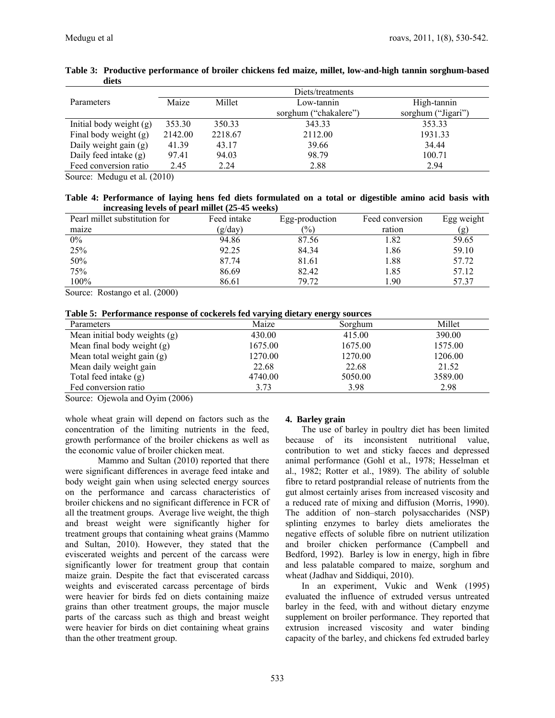|                         | Diets/treatments |         |                       |                    |  |  |  |
|-------------------------|------------------|---------|-----------------------|--------------------|--|--|--|
| Parameters              | Maize            | Millet  | Low-tannin            | High-tannin        |  |  |  |
|                         |                  |         | sorghum ("chakalere") | sorghum ("Jigari") |  |  |  |
| Initial body weight (g) | 353.30           | 350.33  | 343.33                | 353.33             |  |  |  |
| Final body weight (g)   | 2142.00          | 2218.67 | 2112.00               | 1931.33            |  |  |  |
| Daily weight gain (g)   | 41.39            | 43.17   | 39.66                 | 34.44              |  |  |  |
| Daily feed intake (g)   | 97.41            | 94.03   | 98.79                 | 100.71             |  |  |  |
| Feed conversion ratio   | 2.45             | 2.24    | 2.88                  | 2.94               |  |  |  |

### **Table 3: Productive performance of broiler chickens fed maize, millet, low-and-high tannin sorghum-based diets**

Source: Medugu et al*.* (2010)

### **Table 4: Performance of laying hens fed diets formulated on a total or digestible amino acid basis with increasing levels of pearl millet (25-45 weeks)**

| Pearl millet substitution for | Feed intake | Egg-production | Feed conversion | Egg weight |
|-------------------------------|-------------|----------------|-----------------|------------|
| maize                         | (g/day)     | (%)            | ration          | (g)        |
| $0\%$                         | 94.86       | 87.56          | .82             | 59.65      |
| 25%                           | 92.25       | 84.34          | l.86            | 59.10      |
| 50%                           | 87.74       | 81.61          | 1.88            | 57.72      |
| 75%                           | 86.69       | 82.42          | l.85            | 57.12      |
| 100%                          | 86.61       | 79 72          | .90             | 57.37      |

Source: Rostango et al. (2000)

|  |  |  |  |  |  | Table 5: Performance response of cockerels fed varying dietary energy sources |
|--|--|--|--|--|--|-------------------------------------------------------------------------------|
|--|--|--|--|--|--|-------------------------------------------------------------------------------|

| Parameters                    | Maize   | Sorghum | Millet  |
|-------------------------------|---------|---------|---------|
| Mean initial body weights (g) | 430.00  | 415.00  | 390.00  |
| Mean final body weight (g)    | 1675.00 | 1675.00 | 1575.00 |
| Mean total weight gain (g)    | 1270.00 | 1270.00 | 1206.00 |
| Mean daily weight gain        | 22.68   | 22.68   | 21.52   |
| Total feed intake (g)         | 4740.00 | 5050.00 | 3589.00 |
| Fed conversion ratio          | 3.73    | 3.98    | 2.98    |

Source: Ojewola and Oyim (2006)

whole wheat grain will depend on factors such as the concentration of the limiting nutrients in the feed, growth performance of the broiler chickens as well as the economic value of broiler chicken meat.

 Mammo and Sultan (2010) reported that there were significant differences in average feed intake and body weight gain when using selected energy sources on the performance and carcass characteristics of broiler chickens and no significant difference in FCR of all the treatment groups. Average live weight, the thigh and breast weight were significantly higher for treatment groups that containing wheat grains (Mammo and Sultan, 2010). However, they stated that the eviscerated weights and percent of the carcass were significantly lower for treatment group that contain maize grain. Despite the fact that eviscerated carcass weights and eviscerated carcass percentage of birds were heavier for birds fed on diets containing maize grains than other treatment groups, the major muscle parts of the carcass such as thigh and breast weight were heavier for birds on diet containing wheat grains than the other treatment group.

# **4. Barley grain**

The use of barley in poultry diet has been limited because of its inconsistent nutritional value, contribution to wet and sticky faeces and depressed animal performance (Gohl et al*.*, 1978; Hesselman et al., 1982; Rotter et al., 1989). The ability of soluble fibre to retard postprandial release of nutrients from the gut almost certainly arises from increased viscosity and a reduced rate of mixing and diffusion (Morris, 1990). The addition of non–starch polysaccharides (NSP) splinting enzymes to barley diets ameliorates the negative effects of soluble fibre on nutrient utilization and broiler chicken performance (Campbell and Bedford, 1992). Barley is low in energy, high in fibre and less palatable compared to maize, sorghum and wheat (Jadhav and Siddiqui, 2010).

In an experiment, Vukic and Wenk (1995) evaluated the influence of extruded versus untreated barley in the feed, with and without dietary enzyme supplement on broiler performance. They reported that extrusion increased viscosity and water binding capacity of the barley, and chickens fed extruded barley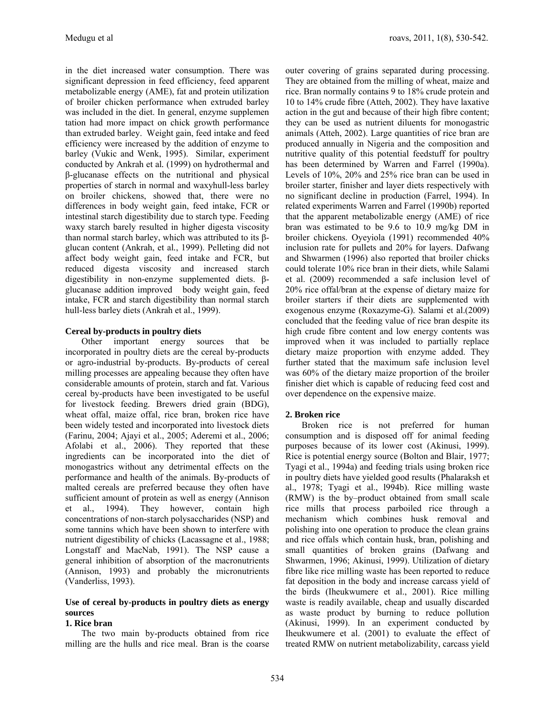in the diet increased water consumption. There was significant depression in feed efficiency, feed apparent metabolizable energy (AME), fat and protein utilization of broiler chicken performance when extruded barley was included in the diet. In general, enzyme supplemen tation had more impact on chick growth performance than extruded barley. Weight gain, feed intake and feed efficiency were increased by the addition of enzyme to barley (Vukic and Wenk, 1995). Similar, experiment conducted by Ankrah et al*.* (1999) on hydrothermal and β-glucanase effects on the nutritional and physical properties of starch in normal and waxyhull-less barley on broiler chickens, showed that, there were no differences in body weight gain, feed intake, FCR or intestinal starch digestibility due to starch type. Feeding waxy starch barely resulted in higher digesta viscosity than normal starch barley, which was attributed to its βglucan content (Ankrah, et al*.*, 1999). Pelleting did not affect body weight gain, feed intake and FCR, but reduced digesta viscosity and increased starch digestibility in non-enzyme supplemented diets. βglucanase addition improved body weight gain, feed intake, FCR and starch digestibility than normal starch hull-less barley diets (Ankrah et al., 1999).

# **Cereal by-products in poultry diets**

Other important energy sources that be incorporated in poultry diets are the cereal by-products or agro-industrial by-products. By-products of cereal milling processes are appealing because they often have considerable amounts of protein, starch and fat. Various cereal by-products have been investigated to be useful for livestock feeding. Brewers dried grain (BDG), wheat offal, maize offal, rice bran, broken rice have been widely tested and incorporated into livestock diets (Farinu, 2004; Ajayi et al., 2005; Aderemi et al., 2006; Afolabi et al., 2006). They reported that these ingredients can be incorporated into the diet of monogastrics without any detrimental effects on the performance and health of the animals. By-products of malted cereals are preferred because they often have sufficient amount of protein as well as energy (Annison et al., 1994). They however, contain high concentrations of non-starch polysaccharides (NSP) and some tannins which have been shown to interfere with nutrient digestibility of chicks (Lacassagne et al., 1988; Longstaff and MacNab, 1991). The NSP cause a general inhibition of absorption of the macronutrients (Annison, 1993) and probably the micronutrients (Vanderliss, 1993).

# **Use of cereal by-products in poultry diets as energy sources**

# **1. Rice bran**

The two main by-products obtained from rice milling are the hulls and rice meal. Bran is the coarse outer covering of grains separated during processing. They are obtained from the milling of wheat, maize and rice. Bran normally contains 9 to 18% crude protein and 10 to 14% crude fibre (Atteh, 2002). They have laxative action in the gut and because of their high fibre content; they can be used as nutrient diluents for monogastric animals (Atteh, 2002). Large quantities of rice bran are produced annually in Nigeria and the composition and nutritive quality of this potential feedstuff for poultry has been determined by Warren and Farrel (1990a). Levels of 10%, 20% and 25% rice bran can be used in broiler starter, finisher and layer diets respectively with no significant decline in production (Farrel, 1994). In related experiments Warren and Farrel (1990b) reported that the apparent metabolizable energy (AME) of rice bran was estimated to be 9.6 to 10.9 mg/kg DM in broiler chickens. Oyeyiola (1991) recommended 40% inclusion rate for pullets and 20% for layers. Dafwang and Shwarmen (1996) also reported that broiler chicks could tolerate 10% rice bran in their diets, while Salami et al. (2009) recommended a safe inclusion level of 20% rice offal/bran at the expense of dietary maize for broiler starters if their diets are supplemented with exogenous enzyme (Roxazyme-G). Salami et al.(2009) concluded that the feeding value of rice bran despite its high crude fibre content and low energy contents was improved when it was included to partially replace dietary maize proportion with enzyme added. They further stated that the maximum safe inclusion level was 60% of the dietary maize proportion of the broiler finisher diet which is capable of reducing feed cost and over dependence on the expensive maize.

# **2. Broken rice**

Broken rice is not preferred for human consumption and is disposed off for animal feeding purposes because of its lower cost (Akinusi, 1999). Rice is potential energy source (Bolton and Blair, 1977; Tyagi et al., 1994a) and feeding trials using broken rice in poultry diets have yielded good results (Phalaraksh et al., 1978; Tyagi et al., l994b). Rice milling waste (RMW) is the by–product obtained from small scale rice mills that process parboiled rice through a mechanism which combines husk removal and polishing into one operation to produce the clean grains and rice offals which contain husk, bran, polishing and small quantities of broken grains (Dafwang and Shwarmen, 1996; Akinusi, 1999). Utilization of dietary fibre like rice milling waste has been reported to reduce fat deposition in the body and increase carcass yield of the birds (Iheukwumere et al., 2001). Rice milling waste is readily available, cheap and usually discarded as waste product by burning to reduce pollution (Akinusi, 1999). In an experiment conducted by Iheukwumere et al. (2001) to evaluate the effect of treated RMW on nutrient metabolizability, carcass yield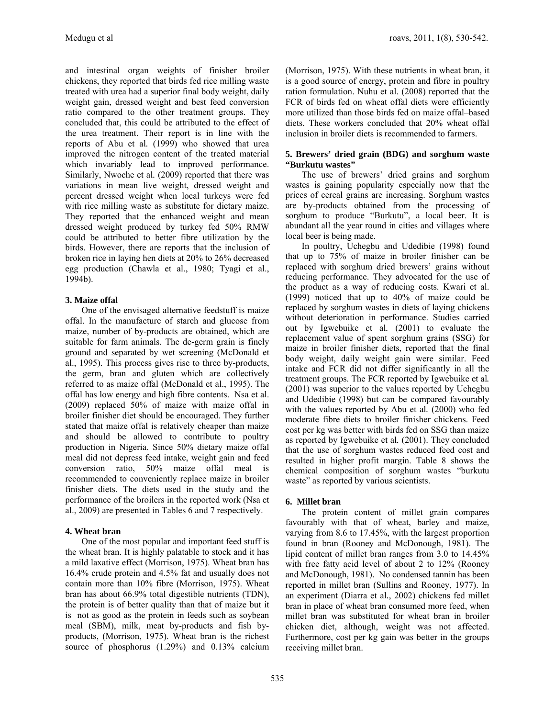and intestinal organ weights of finisher broiler chickens, they reported that birds fed rice milling waste treated with urea had a superior final body weight, daily weight gain, dressed weight and best feed conversion ratio compared to the other treatment groups. They concluded that, this could be attributed to the effect of the urea treatment. Their report is in line with the reports of Abu et al*.* (1999) who showed that urea improved the nitrogen content of the treated material which invariably lead to improved performance. Similarly, Nwoche et al*.* (2009) reported that there was variations in mean live weight, dressed weight and percent dressed weight when local turkeys were fed with rice milling waste as substitute for dietary maize. They reported that the enhanced weight and mean dressed weight produced by turkey fed 50% RMW could be attributed to better fibre utilization by the birds. However, there are reports that the inclusion of broken rice in laying hen diets at 20% to 26% decreased egg production (Chawla et al., 1980; Tyagi et al., 1994b).

# **3. Maize offal**

One of the envisaged alternative feedstuff is maize offal. In the manufacture of starch and glucose from maize, number of by-products are obtained, which are suitable for farm animals. The de-germ grain is finely ground and separated by wet screening (McDonald et al., 1995). This process gives rise to three by-products, the germ, bran and gluten which are collectively referred to as maize offal (McDonald et al., 1995). The offal has low energy and high fibre contents. Nsa et al. (2009) replaced 50% of maize with maize offal in broiler finisher diet should be encouraged. They further stated that maize offal is relatively cheaper than maize and should be allowed to contribute to poultry production in Nigeria. Since 50% dietary maize offal meal did not depress feed intake, weight gain and feed conversion ratio, 50% maize offal meal is recommended to conveniently replace maize in broiler finisher diets. The diets used in the study and the performance of the broilers in the reported work (Nsa et al., 2009) are presented in Tables 6 and 7 respectively.

# **4. Wheat bran**

One of the most popular and important feed stuff is the wheat bran. It is highly palatable to stock and it has a mild laxative effect (Morrison, 1975). Wheat bran has 16.4% crude protein and 4.5% fat and usually does not contain more than 10% fibre (Morrison, 1975). Wheat bran has about 66.9% total digestible nutrients (TDN), the protein is of better quality than that of maize but it is not as good as the protein in feeds such as soybean meal (SBM), milk, meat by-products and fish byproducts, (Morrison, 1975). Wheat bran is the richest source of phosphorus (1.29%) and 0.13% calcium

(Morrison, 1975). With these nutrients in wheat bran, it is a good source of energy, protein and fibre in poultry ration formulation. Nuhu et al. (2008) reported that the FCR of birds fed on wheat offal diets were efficiently more utilized than those birds fed on maize offal–based diets. These workers concluded that 20% wheat offal inclusion in broiler diets is recommended to farmers.

## **5. Brewers' dried grain (BDG) and sorghum waste "Burkutu wastes"**

The use of brewers' dried grains and sorghum wastes is gaining popularity especially now that the prices of cereal grains are increasing. Sorghum wastes are by-products obtained from the processing of sorghum to produce "Burkutu", a local beer. It is abundant all the year round in cities and villages where local beer is being made.

In poultry, Uchegbu and Udedibie (1998) found that up to 75% of maize in broiler finisher can be replaced with sorghum dried brewers' grains without reducing performance. They advocated for the use of the product as a way of reducing costs. Kwari et al. (1999) noticed that up to 40% of maize could be replaced by sorghum wastes in diets of laying chickens without deterioration in performance. Studies carried out by Igwebuike et al*.* (2001) to evaluate the replacement value of spent sorghum grains (SSG) for maize in broiler finisher diets, reported that the final body weight, daily weight gain were similar. Feed intake and FCR did not differ significantly in all the treatment groups. The FCR reported by Igwebuike et al*.* (2001) was superior to the values reported by Uchegbu and Udedibie (1998) but can be compared favourably with the values reported by Abu et al*.* (2000) who fed moderate fibre diets to broiler finisher chickens. Feed cost per kg was better with birds fed on SSG than maize as reported by Igwebuike et al*.* (2001). They concluded that the use of sorghum wastes reduced feed cost and resulted in higher profit margin. Table 8 shows the chemical composition of sorghum wastes "burkutu waste" as reported by various scientists.

# **6. Millet bran**

The protein content of millet grain compares favourably with that of wheat, barley and maize, varying from 8.6 to 17.45%, with the largest proportion found in bran (Rooney and McDonough, 1981). The lipid content of millet bran ranges from 3.0 to 14.45% with free fatty acid level of about 2 to 12% (Rooney and McDonough, 1981). No condensed tannin has been reported in millet bran (Sullins and Rooney, 1977). In an experiment (Diarra et al*.*, 2002) chickens fed millet bran in place of wheat bran consumed more feed, when millet bran was substituted for wheat bran in broiler chicken diet, although, weight was not affected. Furthermore, cost per kg gain was better in the groups receiving millet bran.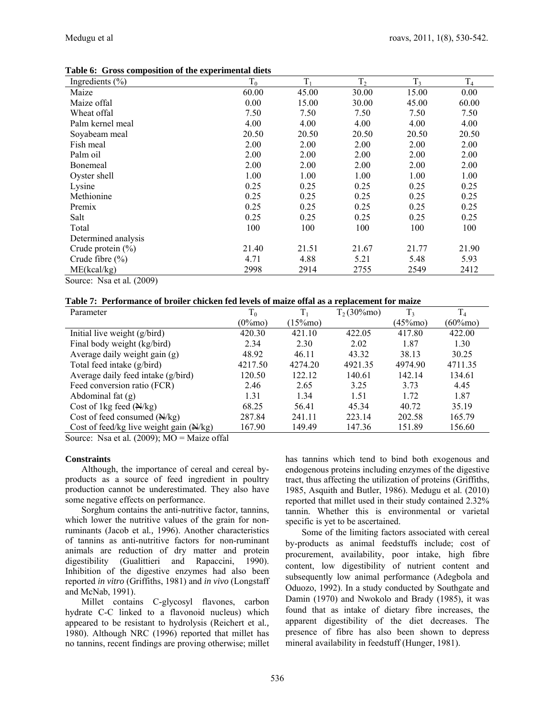| Ingredients $(\% )$   | $T_0$ | $T_1$ | T <sub>2</sub> | T <sub>3</sub> | $T_4$ |
|-----------------------|-------|-------|----------------|----------------|-------|
| Maize                 | 60.00 | 45.00 | 30.00          | 15.00          | 0.00  |
| Maize offal           | 0.00  | 15.00 | 30.00          | 45.00          | 60.00 |
| Wheat offal           | 7.50  | 7.50  | 7.50           | 7.50           | 7.50  |
| Palm kernel meal      | 4.00  | 4.00  | 4.00           | 4.00           | 4.00  |
| Soyabeam meal         | 20.50 | 20.50 | 20.50          | 20.50          | 20.50 |
| Fish meal             | 2.00  | 2.00  | 2.00           | 2.00           | 2.00  |
| Palm oil              | 2.00  | 2.00  | 2.00           | 2.00           | 2.00  |
| Bonemeal              | 2.00  | 2.00  | 2.00           | 2.00           | 2.00  |
| Oyster shell          | 1.00  | 1.00  | 1.00           | 1.00           | 1.00  |
| Lysine                | 0.25  | 0.25  | 0.25           | 0.25           | 0.25  |
| Methionine            | 0.25  | 0.25  | 0.25           | 0.25           | 0.25  |
| Premix                | 0.25  | 0.25  | 0.25           | 0.25           | 0.25  |
| Salt                  | 0.25  | 0.25  | 0.25           | 0.25           | 0.25  |
| Total                 | 100   | 100   | 100            | 100            | 100   |
| Determined analysis   |       |       |                |                |       |
| Crude protein $(\% )$ | 21.40 | 21.51 | 21.67          | 21.77          | 21.90 |
| Crude fibre $(\% )$   | 4.71  | 4.88  | 5.21           | 5.48           | 5.93  |
| ME(kcal/kg)           | 2998  | 2914  | 2755           | 2549           | 2412  |

**Table 6: Gross composition of the experimental diets** 

Source: Nsa et al*.* (2009)

|  |  |  |  |  | Table 7: Performance of broiler chicken fed levels of maize offal as a replacement for maize |
|--|--|--|--|--|----------------------------------------------------------------------------------------------|
|--|--|--|--|--|----------------------------------------------------------------------------------------------|

| Parameter                                 | $T_0$      | $\rm T_1$   | $T_2(30\%$ mo) | T <sub>3</sub> | T <sub>4</sub> |
|-------------------------------------------|------------|-------------|----------------|----------------|----------------|
|                                           | $(0\%$ mo) | $(15\%$ mo) |                | $(45\%$ mo)    | $(60\%$ mo)    |
| Initial live weight $(g/bird)$            | 420.30     | 421.10      | 422.05         | 417.80         | 422.00         |
| Final body weight (kg/bird)               | 2.34       | 2.30        | 2.02           | 1.87           | 1.30           |
| Average daily weight gain (g)             | 48.92      | 46.11       | 43.32          | 38.13          | 30.25          |
| Total feed intake (g/bird)                | 4217.50    | 4274.20     | 4921.35        | 4974.90        | 4711.35        |
| Average daily feed intake (g/bird)        | 120.50     | 122.12      | 140.61         | 142.14         | 134.61         |
| Feed conversion ratio (FCR)               | 2.46       | 2.65        | 3.25           | 3.73           | 4.45           |
| Abdominal fat $(g)$                       | 1.31       | 1.34        | 1.51           | 1.72           | 1.87           |
| Cost of 1kg feed $(\frac{N}{kg})$         | 68.25      | 56.41       | 45.34          | 40.72          | 35.19          |
| Cost of feed consumed $(N/kg)$            | 287.84     | 241.11      | 223.14         | 202.58         | 165.79         |
| Cost of feed/kg live weight gain $(N/kg)$ | 167.90     | 149.49      | 147.36         | 151.89         | 156.60         |

Source: Nsa et al*.* (2009); MO = Maize offal

### **Constraints**

Although, the importance of cereal and cereal byproducts as a source of feed ingredient in poultry production cannot be underestimated. They also have some negative effects on performance.

Sorghum contains the anti-nutritive factor, tannins, which lower the nutritive values of the grain for nonruminants (Jacob et al*.,* 1996). Another characteristics of tannins as anti-nutritive factors for non-ruminant animals are reduction of dry matter and protein digestibility (Gualittieri and Rapaccini, 1990). Inhibition of the digestive enzymes had also been reported *in vitro* (Griffiths, 1981) and *in vivo* (Longstaff and McNab, 1991).

Millet contains C-glycosyl flavones, carbon hydrate C-C linked to a flavonoid nucleus) which appeared to be resistant to hydrolysis (Reichert et al*.,*  1980). Although NRC (1996) reported that millet has no tannins, recent findings are proving otherwise; millet

has tannins which tend to bind both exogenous and endogenous proteins including enzymes of the digestive tract, thus affecting the utilization of proteins (Griffiths, 1985, Asquith and Butler, 1986). Medugu et al. (2010) reported that millet used in their study contained 2.32% tannin. Whether this is environmental or varietal specific is yet to be ascertained.

Some of the limiting factors associated with cereal by-products as animal feedstuffs include; cost of procurement, availability, poor intake, high fibre content, low digestibility of nutrient content and subsequently low animal performance (Adegbola and Oduozo, 1992). In a study conducted by Southgate and Damin (1970) and Nwokolo and Brady (1985), it was found that as intake of dietary fibre increases, the apparent digestibility of the diet decreases. The presence of fibre has also been shown to depress mineral availability in feedstuff (Hunger, 1981).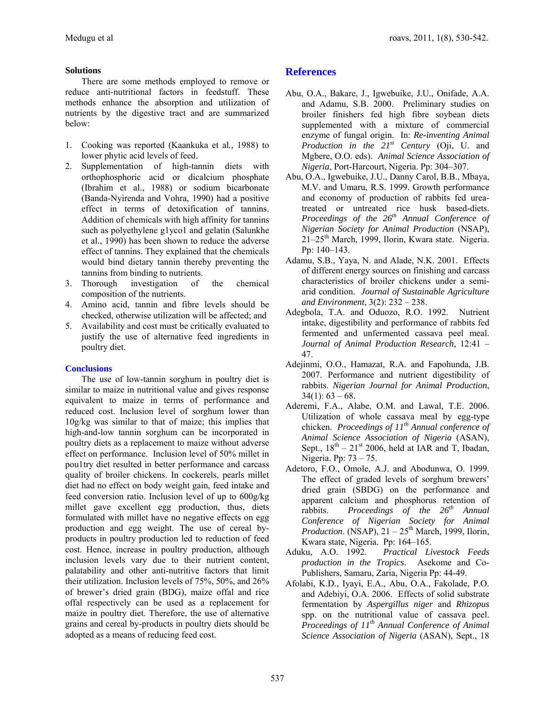# **Solutions**

There are some methods employed to remove or reduce anti-nutritional factors in feedstuff. These methods enhance the absorption and utilization of nutrients by the digestive tract and are summarized below:

- 1. Cooking was reported (Kaankuka et al*.,* 1988) to lower phytic acid levels of feed.
- 2. Supplementation of high-tannin diets with orthophosphoric acid or dicalcium phosphate (Ibrahim et al., 1988) or sodium bicarbonate (Banda-Nyirenda and Vohra, 1990) had a positive effect in terms of detoxification of tannins. Addition of chemicals with high affinity for tannins such as polyethylene g1yco1 and gelatin (Salunkhe et al., 1990) has been shown to reduce the adverse effect of tannins. They explained that the chemicals would bind dietary tannin thereby preventing the tannins from binding to nutrients.
- 3. Thorough investigation of the chemical composition of the nutrients.
- 4. Amino acid, tannin and fibre levels should be checked, otherwise utilization will be affected; and
- 5. Availability and cost must be critically evaluated to justify the use of alternative feed ingredients in poultry diet.

# **Conclusions**

The use of low-tannin sorghum in poultry diet is similar to maize in nutritional value and gives response equivalent to maize in terms of performance and reduced cost. Inclusion level of sorghum lower than 10g/kg was similar to that of maize; this implies that high-and-low tannin sorghum can be incorporated in poultry diets as a replacement to maize without adverse effect on performance. Inclusion level of 50% millet in pou1try diet resulted in better performance and carcass quality of broiler chickens. In cockerels, pearls millet diet had no effect on body weight gain, feed intake and feed conversion ratio. Inclusion level of up to 600g/kg millet gave excellent egg production, thus, diets formulated with millet have no negative effects on egg production and egg weight. The use of cereal byproducts in poultry production led to reduction of feed cost. Hence, increase in poultry production, although inclusion levels vary due to their nutrient content, palatability and other anti-nutritive factors that limit their utilization. Inclusion levels of 75%, 50%, and 26% of brewer's dried grain (BDG), maize offal and rice offal respectively can be used as a replacement for maize in poultry diet. Therefore, the use of alternative grains and cereal by-products in poultry diets should be adopted as a means of reducing feed cost.

# **References**

- Abu, O.A., Bakare, J., Igwebuike, J.U., Onifade, A.A. and Adamu, S.B. 2000. Preliminary studies on broiler finishers fed high fibre soybean diets supplemented with a mixture of commercial enzyme of fungal origin. In: *Re-inventing Animal Production in the 21st Century* (Oji, U. and Mgbere, O.O. eds). *Animal Science Association of Nigeria*, Port-Harcourt, Nigeria. Pp: 304–307.
- Abu, O.A., Igwebuike, J.U., Danny Carol, B.B., Mbaya, M.V. and Umaru, R.S. 1999. Growth performance and economy of production of rabbits fed ureatreated or untreated rice husk based-diets. *Proceedings of the 26th Annual Conference of Nigerian Society for Animal Production* (NSAP), 21–25<sup>th</sup> March, 1999, Ilorin, Kwara state. Nigeria. Pp: 140–143.
- Adamu, S.B., Yaya, N. and Alade, N.K. 2001. Effects of different energy sources on finishing and carcass characteristics of broiler chickens under a semiarid condition. *Journal of Sustainable Agriculture and Environment*, 3(2): 232 – 238.
- Adegbola, T.A. and Oduozo, R.O. 1992. Nutrient intake, digestibility and performance of rabbits fed fermented and unfermented cassava peel meal. *Journal of Animal Production Research,* 12:41 – 47.
- Adejinmi, O.O., Hamazat, R.A. and Fapohunda, J.B. 2007. Performance and nutrient digestibility of rabbits. *Nigerian Journal for Animal Production*,  $34(1): 63 - 68.$
- Aderemi, F.A., Alabe, O.M. and Lawal, T.E. 2006. Utilization of whole cassava meal by egg-type chicken. *Proceedings of 11th Annual conference of Animal Science Association of Nigeria* (ASAN), Sept.,  $18^{th} - 21^{st}$  2006, held at IAR and T, Ibadan, Nigeria. Pp: 73 – 75.
- Adetoro, F.O., Omole, A.J. and Abodunwa, O. 1999. The effect of graded levels of sorghum brewers' dried grain (SBDG) on the performance and apparent calcium and phosphorus retention of rabbits. *Proceedings of the 26th Annual Conference of Nigerian Society for Animal Production.* (NSAP),  $21 - 25$ <sup>th</sup> March, 1999, Ilorin, Kwara state, Nigeria. Pp: 164–165.
- Aduku, A.O. 1992. *Practical Livestock Feeds production in the Tropics*. Asekome and Co-Publishers, Samaru, Zaria, Nigeria Pp: 44-49.
- Afolabi, K.D., Iyayi, E.A., Abu, O.A., Fakolade, P.O. and Adebiyi, O.A. 2006. Effects of solid substrate fermentation by *Aspergillus niger* and *Rhizopus* spp. on the nutritional value of cassava peel. *Proceedings of 11th Annual Conference of Animal Science Association of Nigeria* (ASAN), Sept., 18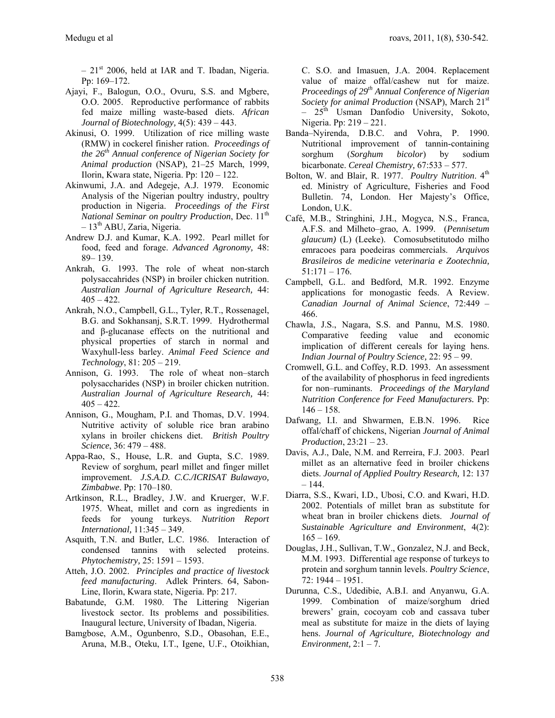$-21<sup>st</sup>$  2006, held at IAR and T. Ibadan, Nigeria. Pp: 169–172.

- Ajayi, F., Balogun, O.O., Ovuru, S.S. and Mgbere, O.O. 2005. Reproductive performance of rabbits fed maize milling waste-based diets. *African Journal of Biotechnology,* 4(5): 439 – 443.
- Akinusi, O. 1999. Utilization of rice milling waste (RMW) in cockerel finisher ration. *Proceedings of the 26th Annual conference of Nigerian Society for Animal production* (NSAP), 21–25 March, 1999, Ilorin, Kwara state, Nigeria. Pp: 120 – 122.
- Akinwumi, J.A. and Adegeje, A.J. 1979. Economic Analysis of the Nigerian poultry industry, poultry production in Nigeria. *Proceedings of the First National Seminar on poultry Production, Dec.* 11<sup>th</sup>  $-13<sup>th</sup>$  ABU, Zaria, Nigeria.
- Andrew D.J. and Kumar, K.A. 1992. Pearl millet for food, feed and forage. *Advanced Agronomy,* 48: 89– 139.
- Ankrah, G. 1993. The role of wheat non-starch polysaccahrides (NSP) in broiler chicken nutrition. *Australian Journal of Agriculture Research,* 44:  $405 - 422$ .
- Ankrah, N.O., Campbell, G.L., Tyler, R.T., Rossenagel, B.G. and Sokhansanj, S.R.T. 1999. Hydrothermal and β-glucanase effects on the nutritional and physical properties of starch in normal and Waxyhull-less barley. *Animal Feed Science and Technology*, 81: 205 – 219.
- Annison, G. 1993. The role of wheat non–starch polysaccharides (NSP) in broiler chicken nutrition. *Australian Journal of Agriculture Research,* 44:  $405 - 422$ .
- Annison, G., Mougham, P.I. and Thomas, D.V. 1994. Nutritive activity of soluble rice bran arabino xylans in broiler chickens diet. *British Poultry Science*, 36: 479 – 488.
- Appa-Rao, S., House, L.R. and Gupta, S.C. 1989. Review of sorghum, pearl millet and finger millet improvement. *J.S.A.D. C.C./ICRISAT Bulawayo, Zimbabwe*. Pp: 170–180.
- Artkinson, R.L., Bradley, J.W. and Kruerger, W.F. 1975. Wheat, millet and corn as ingredients in feeds for young turkeys. *Nutrition Report International,* 11:345 – 349.
- Asquith, T.N. and Butler, L.C. 1986. Interaction of condensed tannins with selected proteins. *Phytochemistry,* 25: 1591 – 1593.
- Atteh, J.O. 2002. *Principles and practice of livestock feed manufacturing*. Adlek Printers. 64, Sabon-Line, Ilorin, Kwara state, Nigeria. Pp: 217.
- Babatunde, G.M. 1980. The Littering Nigerian livestock sector. Its problems and possibilities. Inaugural lecture, University of Ibadan, Nigeria.
- Bamgbose, A.M., Ogunbenro, S.D., Obasohan, E.E., Aruna, M.B., Oteku, I.T., Igene, U.F., Otoikhian,

C. S.O. and Imasuen, J.A. 2004. Replacement value of maize offal/cashew nut for maize. *Proceedings of 29th Annual Conference of Nigerian Society for animal Production* (NSAP), March 21<sup>st</sup> – 25<sup>th</sup> Usman Danfodio University, Sokoto, Nigeria. Pp: 219 – 221.

- Banda–Nyirenda, D.B.C. and Vohra, P. 1990. Nutritional improvement of tannin-containing sorghum (*Sorghum bicolor*) by sodium bicarbonate. *Cereal Chemistry,* 67:533 – 577.
- Bolton, W. and Blair, R. 1977. Poultry Nutrition. 4<sup>th</sup> ed. Ministry of Agriculture, Fisheries and Food Bulletin. 74, London. Her Majesty's Office, London, U.K.
- Café, M.B., Stringhini, J.H., Mogyca, N.S., Franca, A.F.S. and Milheto–grao, A. 1999. (*Pennisetum glaucum)* (L) (Leeke). Comosubsetitutodo milho emracoes para poedeiras commercials. *Arquivos Brasileiros de medicine veterinaria e Zootechnia,* 51:171 – 176.
- Campbell, G.L. and Bedford, M.R. 1992. Enzyme applications for monogastic feeds. A Review. *Canadian Journal of Animal Science*, 72:449 – 466.
- Chawla, J.S., Nagara, S.S. and Pannu, M.S. 1980. Comparative feeding value and economic implication of different cereals for laying hens. *Indian Journal of Poultry Science,* 22: 95 – 99.
- Cromwell, G.L. and Coffey, R.D. 1993. An assessment of the availability of phosphorus in feed ingredients for non–ruminants. *Proceedings of the Maryland Nutrition Conference for Feed Manufacturers.* Pp:  $146 - 158$ .
- Dafwang, I.I. and Shwarmen, E.B.N. 1996. Rice offal/chaff of chickens, Nigerian *Journal of Animal Production*, 23:21 – 23.
- Davis, A.J., Dale, N.M. and Rerreira, F.J. 2003. Pearl millet as an alternative feed in broiler chickens diets. *Journal of Applied Poultry Research,* 12: 137 – 144.
- Diarra, S.S., Kwari, I.D., Ubosi, C.O. and Kwari, H.D. 2002. Potentials of millet bran as substitute for wheat bran in broiler chickens diets. *Journal of Sustainable Agriculture and Environment*, 4(2):  $165 - 169$ .
- Douglas, J.H., Sullivan, T.W., Gonzalez, N.J. and Beck, M.M. 1993. Differential age response of turkeys to protein and sorghum tannin levels. *Poultry Science*, 72: 1944 – 1951.
- Durunna, C.S., Udedibie, A.B.I. and Anyanwu, G.A. 1999. Combination of maize/sorghum dried brewers' grain, cocoyam cob and cassava tuber meal as substitute for maize in the diets of laying hens. *Journal of Agriculture, Biotechnology and Environment,* 2:1 – 7.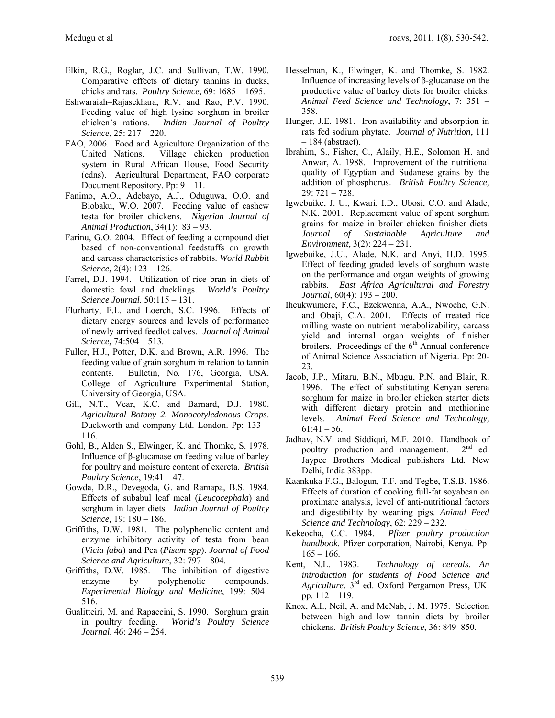- Elkin, R.G., Roglar, J.C. and Sullivan, T.W. 1990. Comparative effects of dietary tannins in ducks, chicks and rats. *Poultry Science,* 69: 1685 – 1695.
- Eshwaraiah–Rajasekhara, R.V. and Rao, P.V. 1990. Feeding value of high lysine sorghum in broiler chicken's rations. *Indian Journal of Poultry Science*, 25: 217 – 220.
- FAO, 2006. Food and Agriculture Organization of the United Nations. Village chicken production system in Rural African House, Food Security (edns). Agricultural Department, FAO corporate Document Repository. Pp: 9 – 11.
- Fanimo, A.O., Adebayo, A.J., Oduguwa, O.O. and Biobaku, W.O. 2007. Feeding value of cashew testa for broiler chickens. *Nigerian Journal of Animal Production*, 34(1): 83 – 93.
- Farinu, G.O. 2004. Effect of feeding a compound diet based of non-conventional feedstuffs on growth and carcass characteristics of rabbits. *World Rabbit Science,* 2(4): 123 – 126.
- Farrel, D.J. 1994. Utilization of rice bran in diets of domestic fowl and ducklings. *World's Poultry Science Journal.* 50:115 – 131.
- Flurharty, F.L. and Loerch, S.C. 1996. Effects of dietary energy sources and levels of performance of newly arrived feedlot calves. *Journal of Animal Science,* 74:504 – 513.
- Fuller, H.J., Potter, D.K. and Brown, A.R. 1996. The feeding value of grain sorghum in relation to tannin contents. Bulletin, No. 176, Georgia, USA. College of Agriculture Experimental Station, University of Georgia, USA.
- Gill, N.T., Vear, K.C. and Barnard, D.J. 1980. *Agricultural Botany 2. Monocotyledonous Crops*. Duckworth and company Ltd. London. Pp: 133 – 116.
- Gohl, B., Alden S., Elwinger, K. and Thomke, S. 1978. Influence of β-glucanase on feeding value of barley for poultry and moisture content of excreta. *British Poultry Science*, 19:41 – 47.
- Gowda, D.R., Devegoda, G. and Ramapa, B.S. 1984. Effects of subabul leaf meal (*Leucocephala*) and sorghum in layer diets. *Indian Journal of Poultry Science,* 19: 180 – 186.
- Griffiths, D.W. 1981. The polyphenolic content and enzyme inhibitory activity of testa from bean (*Vicia faba*) and Pea (*Pisum spp*). *Journal of Food Science and Agriculture*, 32: 797 – 804.
- Griffiths, D.W. 1985. The inhibition of digestive enzyme by polyphenolic compounds. *Experimental Biology and Medicine*, 199: 504– 516.
- Gualitteiri, M. and Rapaccini, S. 1990. Sorghum grain in poultry feeding. *World's Poultry Science Journal*, 46: 246 – 254.
- Hesselman, K., Elwinger, K. and Thomke, S. 1982. Influence of increasing levels of β-glucanase on the productive value of barley diets for broiler chicks. *Animal Feed Science and Technology*, 7: 351 – 358.
- Hunger, J.E. 1981. Iron availability and absorption in rats fed sodium phytate. *Journal of Nutrition*, 111  $-184$  (abstract).
- Ibrahim, S., Fisher, C., Alaily, H.E., Solomon H. and Anwar, A. 1988. Improvement of the nutritional quality of Egyptian and Sudanese grains by the addition of phosphorus. *British Poultry Science,* 29: 721 – 728.
- Igwebuike, J. U., Kwari, I.D., Ubosi, C.O. and Alade, N.K. 2001. Replacement value of spent sorghum grains for maize in broiler chicken finisher diets. *Journal of Sustainable Agriculture and Environment*, 3(2): 224 – 231.
- Igwebuike, J.U., Alade, N.K. and Anyi, H.D. 1995. Effect of feeding graded levels of sorghum waste on the performance and organ weights of growing rabbits. *East Africa Agricultural and Forestry Journal,* 60(4): 193 – 200.
- Iheukwumere, F.C., Ezekwenna, A.A., Nwoche, G.N. and Obaji, C.A. 2001. Effects of treated rice milling waste on nutrient metabolizability, carcass yield and internal organ weights of finisher broilers. Proceedings of the  $6<sup>th</sup>$  Annual conference of Animal Science Association of Nigeria. Pp: 20- 23.
- Jacob, J.P., Mitaru, B.N., Mbugu, P.N. and Blair, R. 1996. The effect of substituting Kenyan serena sorghum for maize in broiler chicken starter diets with different dietary protein and methionine levels. *Animal Feed Science and Technology,*  $61:41 - 56.$
- Jadhav, N.V. and Siddiqui, M.F. 2010. Handbook of poultry production and management.  $2<sup>nd</sup>$  ed. Jaypee Brothers Medical publishers Ltd. New Delhi, India 383pp.
- Kaankuka F.G., Balogun, T.F. and Tegbe, T.S.B. 1986. Effects of duration of cooking full-fat soyabean on proximate analysis, level of anti-nutritional factors and digestibility by weaning pigs. *Animal Feed Science and Technology*, 62: 229 – 232.
- Kekeocha, C.C. 1984. *Pfizer poultry production handbook.* Pfizer corporation, Nairobi, Kenya. Pp:  $165 - 166.$
- Kent, N.L. 1983. *Technology of cereals. An introduction for students of Food Science and Agriculture*. 3rd ed. Oxford Pergamon Press, UK. pp. 112 – 119.
- Knox, A.I., Neil, A. and McNab, J. M. 1975. Selection between high–and–low tannin diets by broiler chickens. *British Poultry Science*, 36: 849–850.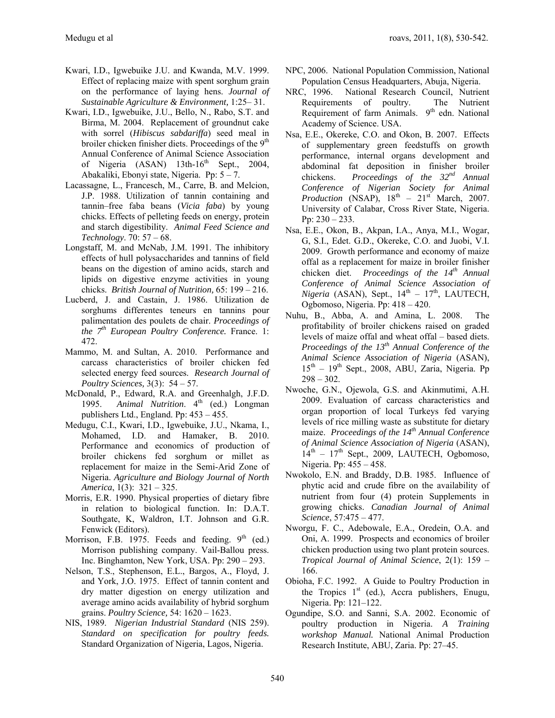- Kwari, I.D., Igwebuike J.U. and Kwanda, M.V. 1999. Effect of replacing maize with spent sorghum grain on the performance of laying hens. *Journal of Sustainable Agriculture & Environment,* 1:25– 31.
- Kwari, I.D., Igwebuike, J.U., Bello, N., Rabo, S.T. and Birma, M. 2004. Replacement of groundnut cake with sorrel (*Hibiscus sabdariffa*) seed meal in broiler chicken finisher diets. Proceedings of the 9<sup>th</sup> Annual Conference of Animal Science Association of Nigeria  $(ASAN)$  13th-16<sup>th</sup> Sept., 2004, Abakaliki, Ebonyi state, Nigeria. Pp: 5 – 7.
- Lacassagne, L., Francesch, M., Carre, B. and Melcion, J.P. 1988. Utilization of tannin containing and tannin–free faba beans (*Vicia faba*) by young chicks. Effects of pelleting feeds on energy, protein and starch digestibility. *Animal Feed Science and Technology*. 70: 57 – 68.
- Longstaff, M. and McNab, J.M. 1991. The inhibitory effects of hull polysaccharides and tannins of field beans on the digestion of amino acids, starch and lipids on digestive enzyme activities in young chicks. *British Journal of Nutrition,* 65: 199 – 216.
- Lucberd, J. and Castain, J. 1986. Utilization de sorghums differentes teneurs en tannins pour palimentation des poulets de chair. *Proceedings of the 7th European Poultry Conference.* France. 1: 472.
- Mammo, M. and Sultan, A. 2010. Performance and carcass characteristics of broiler chicken fed selected energy feed sources. *Research Journal of Poultry Sciences,* 3(3): 54 – 57.
- McDonald, P., Edward, R.A. and Greenhalgh, J.F.D. 1995. Animal Nutrition. 4<sup>th</sup> (ed.) Longman publishers Ltd., England. Pp: 453 – 455.
- Medugu, C.I., Kwari, I.D., Igwebuike, J.U., Nkama, I., Mohamed, I.D. and Hamaker, B. 2010. Performance and economics of production of broiler chickens fed sorghum or millet as replacement for maize in the Semi-Arid Zone of Nigeria. *Agriculture and Biology Journal of North America*, 1(3): 321 – 325.
- Morris, E.R. 1990. Physical properties of dietary fibre in relation to biological function. In: D.A.T. Southgate, K, Waldron, I.T. Johnson and G.R. Fenwick (Editors).
- Morrison, F.B. 1975. Feeds and feeding.  $9<sup>th</sup>$  (ed.) Morrison publishing company. Vail-Ballou press. Inc. Binghamton, New York, USA. Pp: 290 – 293.
- Nelson, T.S., Stephenson, E.L., Bargos, A., Floyd, J. and York, J.O. 1975. Effect of tannin content and dry matter digestion on energy utilization and average amino acids availability of hybrid sorghum grains. *Poultry Science,* 54: 1620 – 1623.
- NIS, 1989. *Nigerian Industrial Standard* (NIS 259). *Standard on specification for poultry feeds.* Standard Organization of Nigeria, Lagos, Nigeria.
- NPC, 2006. National Population Commission, National Population Census Headquarters, Abuja, Nigeria.
- NRC, 1996. National Research Council, Nutrient Requirements of poultry. The Nutrient Requirement of farm Animals. 9<sup>th</sup> edn. National Academy of Science. USA.
- Nsa, E.E., Okereke, C.O. and Okon, B. 2007. Effects of supplementary green feedstuffs on growth performance, internal organs development and abdominal fat deposition in finisher broiler chickens. *Proceedings of the 32nd Annual Conference of Nigerian Society for Animal Production* (NSAP),  $18<sup>th</sup> - 21<sup>st</sup>$  March, 2007. University of Calabar, Cross River State, Nigeria. Pp: 230 – 233.
- Nsa, E.E., Okon, B., Akpan, I.A., Anya, M.I., Wogar, G, S.I., Edet. G.D., Okereke, C.O. and Juobi, V.I. 2009. Growth performance and economy of maize offal as a replacement for maize in broiler finisher chicken diet. *Proceedings of the 14th Annual Conference of Animal Science Association of Nigeria* (ASAN), Sept.,  $14<sup>th</sup> - 17<sup>th</sup>$ , LAUTECH, Ogbomoso, Nigeria. Pp: 418 – 420.
- Nuhu, B., Abba, A. and Amina, L. 2008. The profitability of broiler chickens raised on graded levels of maize offal and wheat offal – based diets. *Proceedings of the 13th Annual Conference of the Animal Science Association of Nigeria* (ASAN),  $15<sup>th</sup> - 19<sup>th</sup>$  Sept., 2008, ABU, Zaria, Nigeria. Pp  $298 - 302$ .
- Nwoche, G.N., Ojewola, G.S. and Akinmutimi, A.H. 2009. Evaluation of carcass characteristics and organ proportion of local Turkeys fed varying levels of rice milling waste as substitute for dietary maize. *Proceedings of the 14<sup>th</sup> Annual Conference of Animal Science Association of Nigeria* (ASAN),  $14<sup>th</sup> - 17<sup>th</sup>$  Sept., 2009, LAUTECH, Ogbomoso, Nigeria. Pp: 455 – 458.
- Nwokolo, E.N. and Braddy, D.B. 1985. Influence of phytic acid and crude fibre on the availability of nutrient from four (4) protein Supplements in growing chicks. *Canadian Journal of Animal Science*, 57:475 – 477.
- Nworgu, F. C., Adebowale, E.A., Oredein, O.A. and Oni, A. 1999. Prospects and economics of broiler chicken production using two plant protein sources. *Tropical Journal of Animal Science*, 2(1): 159 – 166.
- Obioha, F.C. 1992. A Guide to Poultry Production in the Tropics  $1<sup>st</sup>$  (ed.), Accra publishers, Enugu, Nigeria. Pp: 121–122.
- Ogundipe, S.O. and Sanni, S.A. 2002. Economic of poultry production in Nigeria. *A Training workshop Manual.* National Animal Production Research Institute, ABU, Zaria. Pp: 27–45.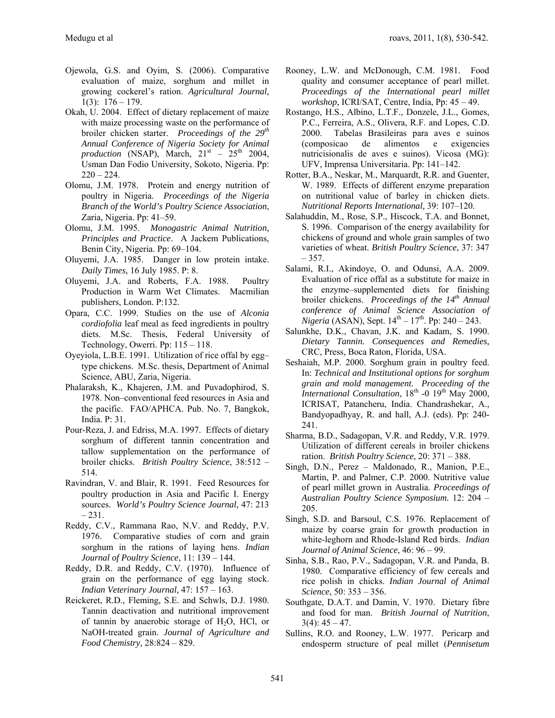- Ojewola, G.S. and Oyim, S. (2006). Comparative evaluation of maize, sorghum and millet in growing cockerel's ration. *Agricultural Journal,*  $1(3): 176 - 179.$
- Okah, U. 2004. Effect of dietary replacement of maize with maize processing waste on the performance of broiler chicken starter. *Proceedings of the 29th Annual Conference of Nigeria Society for Animal production* (NSAP), March,  $21<sup>st</sup> - 25<sup>th</sup> 2004$ , Usman Dan Fodio University, Sokoto, Nigeria. Pp:  $220 - 224$ .
- Olomu, J.M. 1978. Protein and energy nutrition of poultry in Nigeria. *Proceedings of the Nigeria Branch of the World's Poultry Science Association*, Zaria, Nigeria. Pp: 41–59.
- Olomu, J.M. 1995. *Monogastric Animal Nutrition, Principles and Practice*. A Jackem Publications, Benin City, Nigeria. Pp: 69–104.
- Oluyemi, J.A. 1985. Danger in low protein intake. *Daily Times*, 16 July 1985. P: 8.
- Oluyemi, J.A. and Roberts, F.A. 1988. Poultry Production in Warm Wet Climates. Macmilian publishers, London. P:132.
- Opara, C.C. 1999. Studies on the use of *Alconia cordiofolia* leaf meal as feed ingredients in poultry diets. M.Sc. Thesis, Federal University of Technology, Owerri. Pp: 115 – 118.
- Oyeyiola, L.B.E. 1991. Utilization of rice offal by egg– type chickens. M.Sc. thesis, Department of Animal Science, ABU, Zaria, Nigeria.
- Phalaraksh, K., Khajeren, J.M. and Puvadophirod, S. 1978. Non–conventional feed resources in Asia and the pacific. FAO/APHCA. Pub. No. 7, Bangkok, India. P: 31.
- Pour-Reza, J. and Edriss, M.A. 1997. Effects of dietary sorghum of different tannin concentration and tallow supplementation on the performance of broiler chicks. *British Poultry Science*, 38:512 – 514.
- Ravindran, V. and Blair, R. 1991. Feed Resources for poultry production in Asia and Pacific I. Energy sources. *World's Poultry Science Journal,* 47: 213  $-231.$
- Reddy, C.V., Rammana Rao, N.V. and Reddy, P.V. 1976. Comparative studies of corn and grain sorghum in the rations of laying hens. *Indian Journal of Poultry Science*, 11: 139 – 144.
- Reddy, D.R. and Reddy, C.V. (1970). Influence of grain on the performance of egg laying stock. *Indian Veterinary Journal,* 47: 157 – 163.
- Reickeret, R.D., Fleming, S.E. and Schwls, D.J. 1980. Tannin deactivation and nutritional improvement of tannin by anaerobic storage of  $H_2O$ , HCl, or NaOH-treated grain. *Journal of Agriculture and Food Chemistry,* 28:824 – 829.
- Rooney, L.W. and McDonough, C.M. 1981. Food quality and consumer acceptance of pearl millet. *Proceedings of the International pearl millet workshop*, ICRI/SAT, Centre, India, Pp: 45 – 49.
- Rostango, H.S., Albino, L.T.F., Donzele, J.L., Gomes, P.C., Ferreira, A.S., Olivera, R.F. and Lopes, C.D. 2000. Tabelas Brasileiras para aves e suinos (composicao de alimentos e exigencies nutricisionalis de aves e suinos). Vicosa (MG): UFV, Imprensa Universitaria. Pp: 141–142.
- Rotter, B.A., Neskar, M., Marquardt, R.R. and Guenter, W. 1989. Effects of different enzyme preparation on nutritional value of barley in chicken diets. *Nutritional Reports International,* 39: 107–120.
- Salahuddin, M., Rose, S.P., Hiscock, T.A. and Bonnet, S. 1996. Comparison of the energy availability for chickens of ground and whole grain samples of two varieties of wheat. *British Poultry Science*, 37: 347 – 357.
- Salami, R.I., Akindoye, O. and Odunsi, A.A. 2009. Evaluation of rice offal as a substitute for maize in the enzyme–supplemented diets for finishing broiler chickens. *Proceedings of the 14th Annual conference of Animal Science Association of Nigeria* (ASAN), Sept.  $14^{th} - 17^{th}$ . Pp: 240 – 243.
- Salunkhe, D.K., Chavan, J.K. and Kadam, S. 1990. *Dietary Tannin. Consequences and Remedies,* CRC, Press, Boca Raton, Florida, USA.
- Seshaiah, M.P. 2000. Sorghum grain in poultry feed. In: *Technical and Institutional options for sorghum grain and mold management*. *Proceeding of the International Consultation*, 18<sup>th</sup> -0 19<sup>th</sup> May 2000, ICRISAT, Patancheru, India. Chandrashekar, A., Bandyopadhyay, R. and hall, A.J. (eds). Pp: 240- 241.
- Sharma, B.D., Sadagopan, V.R. and Reddy, V.R. 1979. Utilization of different cereals in broiler chickens ration. *British Poultry Science*, 20: 371 – 388.
- Singh, D.N., Perez Maldonado, R., Manion, P.E., Martin, P. and Palmer, C.P. 2000. Nutritive value of pearl millet grown in Australia. *Proceedings of Australian Poultry Science Symposium.* 12: 204 – 205.
- Singh, S.D. and Barsoul, C.S. 1976. Replacement of maize by coarse grain for growth production in white-leghorn and Rhode-Island Red birds. *Indian Journal of Animal Science*, 46: 96 – 99.
- Sinha, S.B., Rao, P.V., Sadagopan, V.R. and Panda, B. 1980. Comparative efficiency of few cereals and rice polish in chicks. *Indian Journal of Animal Science*, 50: 353 – 356.
- Southgate, D.A.T. and Damin, V. 1970. Dietary fibre and food for man. *British Journal of Nutrition*,  $3(4)$ :  $45 - 47$ .
- Sullins, R.O. and Rooney, L.W. 1977. Pericarp and endosperm structure of peal millet (*Pennisetum*